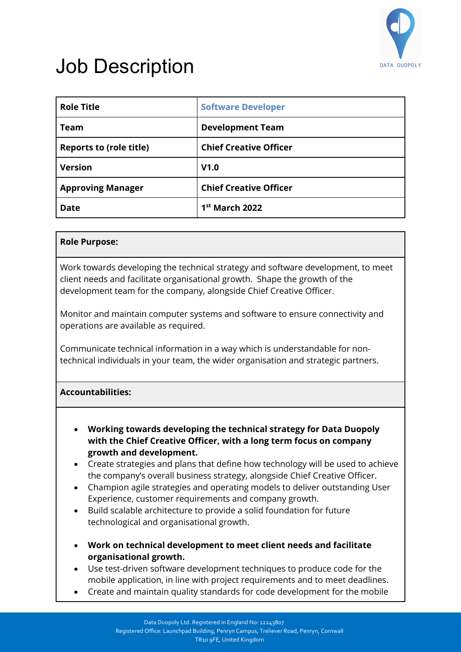

## Job Description

| <b>Role Title</b>              | <b>Software Developer</b>     |
|--------------------------------|-------------------------------|
| Team                           | <b>Development Team</b>       |
| <b>Reports to (role title)</b> | <b>Chief Creative Officer</b> |
| <b>Version</b>                 | V1.0                          |
| <b>Approving Manager</b>       | <b>Chief Creative Officer</b> |
| Date                           | $1st$ March 2022              |

## **Role Purpose:**

Work towards developing the technical strategy and software development, to meet client needs and facilitate organisational growth. Shape the growth of the development team for the company, alongside Chief Creative Officer.

Monitor and maintain computer systems and software to ensure connectivity and operations are available as required.

Communicate technical information in a way which is understandable for nontechnical individuals in your team, the wider organisation and strategic partners.

## **Accountabilities:**

- **Working towards developing the technical strategy for Data Duopoly with the Chief Creative Officer, with a long term focus on company growth and development.**
- Create strategies and plans that define how technology will be used to achieve the company's overall business strategy, alongside Chief Creative Officer.
- Champion agile strategies and operating models to deliver outstanding User Experience, customer requirements and company growth.
- Build scalable architecture to provide a solid foundation for future technological and organisational growth.
- **Work on technical development to meet client needs and facilitate organisational growth.**
- Use test-driven software development techniques to produce code for the mobile application, in line with project requirements and to meet deadlines.
- Create and maintain quality standards for code development for the mobile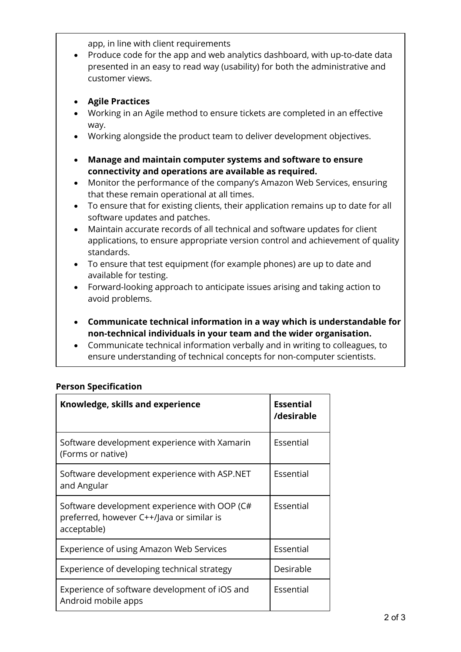app, in line with client requirements

- Produce code for the app and web analytics dashboard, with up-to-date data presented in an easy to read way (usability) for both the administrative and customer views.
- **Agile Practices**
- Working in an Agile method to ensure tickets are completed in an effective way.
- Working alongside the product team to deliver development objectives.
- **Manage and maintain computer systems and software to ensure connectivity and operations are available as required.**
- Monitor the performance of the company's Amazon Web Services, ensuring that these remain operational at all times.
- To ensure that for existing clients, their application remains up to date for all software updates and patches.
- Maintain accurate records of all technical and software updates for client applications, to ensure appropriate version control and achievement of quality standards.
- To ensure that test equipment (for example phones) are up to date and available for testing.
- Forward-looking approach to anticipate issues arising and taking action to avoid problems.
- **Communicate technical information in a way which is understandable for non-technical individuals in your team and the wider organisation.**
- Communicate technical information verbally and in writing to colleagues, to ensure understanding of technical concepts for non-computer scientists.

## **Person Specification**

| Knowledge, skills and experience                                                                         | <b>Essential</b><br>/desirable |
|----------------------------------------------------------------------------------------------------------|--------------------------------|
| Software development experience with Xamarin<br>(Forms or native)                                        | Essential                      |
| Software development experience with ASP.NET<br>and Angular                                              | Essential                      |
| Software development experience with OOP (C#<br>preferred, however C++/Java or similar is<br>acceptable) | Essential                      |
| Experience of using Amazon Web Services                                                                  | Essential                      |
| Experience of developing technical strategy                                                              | Desirable                      |
| Experience of software development of iOS and<br>Android mobile apps                                     | Essential                      |